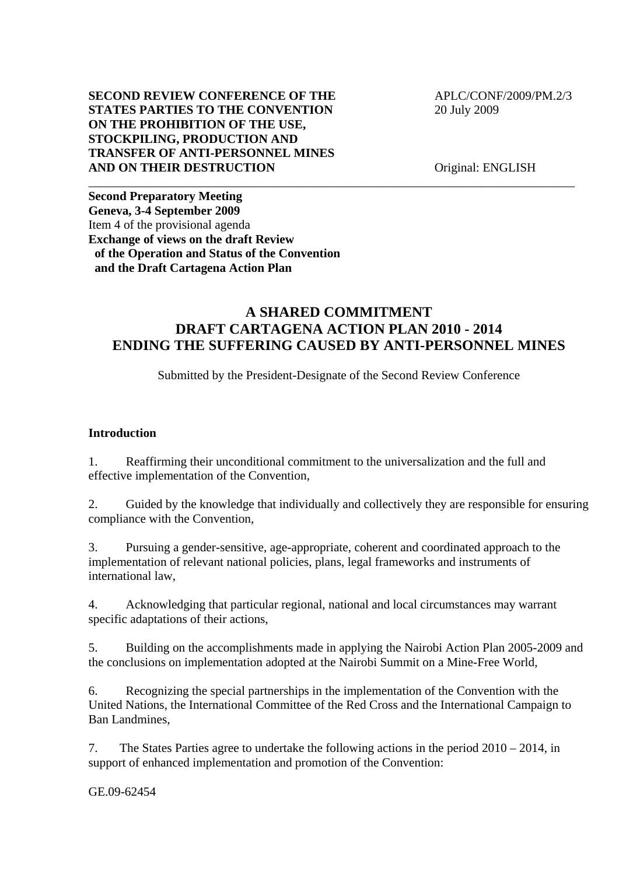## **SECOND REVIEW CONFERENCE OF THE APLC/CONF/2009/PM.2/3 STATES PARTIES TO THE CONVENTION** 20 July 2009 **ON THE PROHIBITION OF THE USE, STOCKPILING, PRODUCTION AND TRANSFER OF ANTI-PERSONNEL MINES AND ON THEIR DESTRUCTION** Original: ENGLISH

**Second Preparatory Meeting Geneva, 3-4 September 2009**  Item 4 of the provisional agenda **Exchange of views on the draft Review of the Operation and Status of the Convention and the Draft Cartagena Action Plan** 

# **A SHARED COMMITMENT DRAFT CARTAGENA ACTION PLAN 2010 - 2014 ENDING THE SUFFERING CAUSED BY ANTI-PERSONNEL MINES**

\_\_\_\_\_\_\_\_\_\_\_\_\_\_\_\_\_\_\_\_\_\_\_\_\_\_\_\_\_\_\_\_\_\_\_\_\_\_\_\_\_\_\_\_\_\_\_\_\_\_\_\_\_\_\_\_\_\_\_\_\_\_\_\_\_\_\_\_\_\_\_\_\_\_\_\_\_\_

Submitted by the President-Designate of the Second Review Conference

## **Introduction**

1. Reaffirming their unconditional commitment to the universalization and the full and effective implementation of the Convention,

2. Guided by the knowledge that individually and collectively they are responsible for ensuring compliance with the Convention,

3. Pursuing a gender-sensitive, age-appropriate, coherent and coordinated approach to the implementation of relevant national policies, plans, legal frameworks and instruments of international law,

4. Acknowledging that particular regional, national and local circumstances may warrant specific adaptations of their actions,

5. Building on the accomplishments made in applying the Nairobi Action Plan 2005-2009 and the conclusions on implementation adopted at the Nairobi Summit on a Mine-Free World,

6. Recognizing the special partnerships in the implementation of the Convention with the United Nations, the International Committee of the Red Cross and the International Campaign to Ban Landmines,

7. The States Parties agree to undertake the following actions in the period 2010 – 2014, in support of enhanced implementation and promotion of the Convention:

GE.09-62454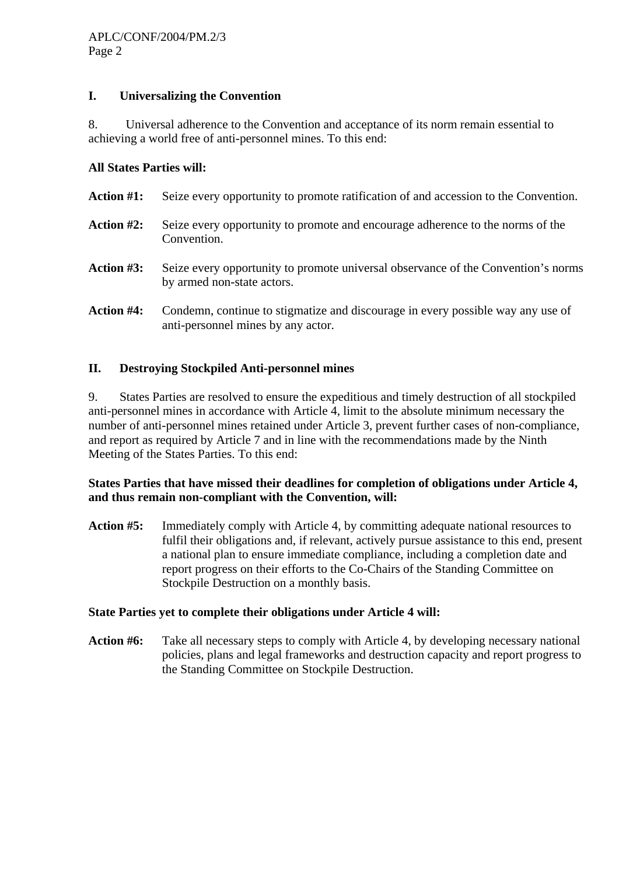# **I. Universalizing the Convention**

8. Universal adherence to the Convention and acceptance of its norm remain essential to achieving a world free of anti-personnel mines. To this end:

### **All States Parties will:**

| <b>Action #1:</b> | Seize every opportunity to promote ratification of and accession to the Convention.                             |
|-------------------|-----------------------------------------------------------------------------------------------------------------|
| <b>Action #2:</b> | Seize every opportunity to promote and encourage adherence to the norms of the<br>Convention.                   |
| <b>Action #3:</b> | Seize every opportunity to promote universal observance of the Convention's norms<br>by armed non-state actors. |
| <b>Action #4:</b> | Condemn, continue to stigmatize and discourage in every possible way any use of                                 |

# **II. Destroying Stockpiled Anti-personnel mines**

anti-personnel mines by any actor.

9. States Parties are resolved to ensure the expeditious and timely destruction of all stockpiled anti-personnel mines in accordance with Article 4, limit to the absolute minimum necessary the number of anti-personnel mines retained under Article 3, prevent further cases of non-compliance, and report as required by Article 7 and in line with the recommendations made by the Ninth Meeting of the States Parties. To this end:

### **States Parties that have missed their deadlines for completion of obligations under Article 4, and thus remain non-compliant with the Convention, will:**

**Action #5:** Immediately comply with Article 4, by committing adequate national resources to fulfil their obligations and, if relevant, actively pursue assistance to this end, present a national plan to ensure immediate compliance, including a completion date and report progress on their efforts to the Co-Chairs of the Standing Committee on Stockpile Destruction on a monthly basis.

### **State Parties yet to complete their obligations under Article 4 will:**

**Action #6:** Take all necessary steps to comply with Article 4, by developing necessary national policies, plans and legal frameworks and destruction capacity and report progress to the Standing Committee on Stockpile Destruction.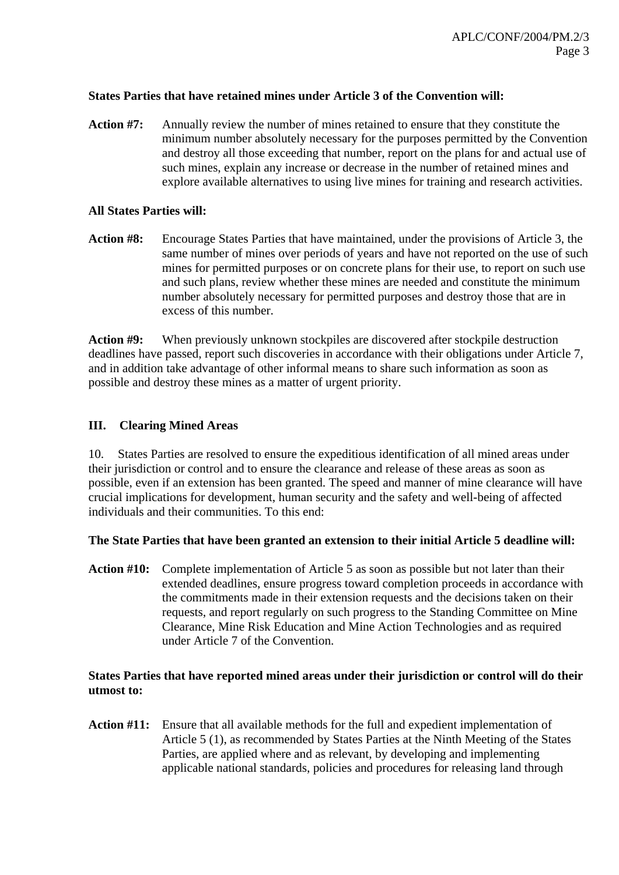## **States Parties that have retained mines under Article 3 of the Convention will:**

**Action #7:** Annually review the number of mines retained to ensure that they constitute the minimum number absolutely necessary for the purposes permitted by the Convention and destroy all those exceeding that number, report on the plans for and actual use of such mines, explain any increase or decrease in the number of retained mines and explore available alternatives to using live mines for training and research activities.

### **All States Parties will:**

**Action #8:** Encourage States Parties that have maintained, under the provisions of Article 3, the same number of mines over periods of years and have not reported on the use of such mines for permitted purposes or on concrete plans for their use, to report on such use and such plans, review whether these mines are needed and constitute the minimum number absolutely necessary for permitted purposes and destroy those that are in excess of this number.

Action #9: When previously unknown stockpiles are discovered after stockpile destruction deadlines have passed, report such discoveries in accordance with their obligations under Article 7, and in addition take advantage of other informal means to share such information as soon as possible and destroy these mines as a matter of urgent priority.

# **III. Clearing Mined Areas**

10. States Parties are resolved to ensure the expeditious identification of all mined areas under their jurisdiction or control and to ensure the clearance and release of these areas as soon as possible, even if an extension has been granted. The speed and manner of mine clearance will have crucial implications for development, human security and the safety and well-being of affected individuals and their communities. To this end:

# **The State Parties that have been granted an extension to their initial Article 5 deadline will:**

**Action #10:** Complete implementation of Article 5 as soon as possible but not later than their extended deadlines, ensure progress toward completion proceeds in accordance with the commitments made in their extension requests and the decisions taken on their requests, and report regularly on such progress to the Standing Committee on Mine Clearance, Mine Risk Education and Mine Action Technologies and as required under Article 7 of the Convention.

### **States Parties that have reported mined areas under their jurisdiction or control will do their utmost to:**

**Action #11:** Ensure that all available methods for the full and expedient implementation of Article 5 (1), as recommended by States Parties at the Ninth Meeting of the States Parties, are applied where and as relevant, by developing and implementing applicable national standards, policies and procedures for releasing land through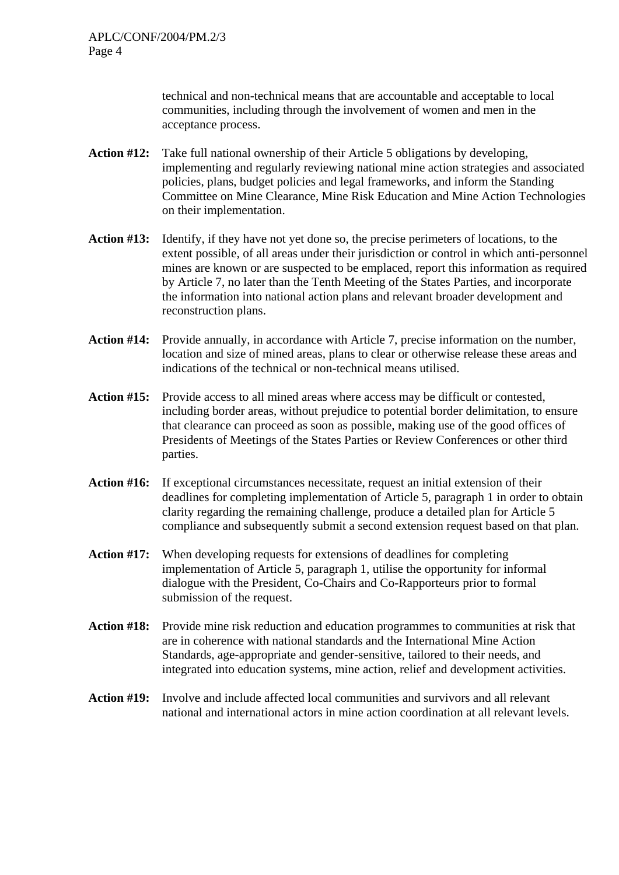technical and non-technical means that are accountable and acceptable to local communities, including through the involvement of women and men in the acceptance process.

- **Action #12:** Take full national ownership of their Article 5 obligations by developing, implementing and regularly reviewing national mine action strategies and associated policies, plans, budget policies and legal frameworks, and inform the Standing Committee on Mine Clearance, Mine Risk Education and Mine Action Technologies on their implementation.
- **Action #13:** Identify, if they have not yet done so, the precise perimeters of locations, to the extent possible*,* of all areas under their jurisdiction or control in which anti-personnel mines are known or are suspected to be emplaced, report this information as required by Article 7, no later than the Tenth Meeting of the States Parties, and incorporate the information into national action plans and relevant broader development and reconstruction plans.
- **Action #14:** Provide annually, in accordance with Article 7, precise information on the number, location and size of mined areas, plans to clear or otherwise release these areas and indications of the technical or non-technical means utilised.
- **Action #15:** Provide access to all mined areas where access may be difficult or contested, including border areas, without prejudice to potential border delimitation, to ensure that clearance can proceed as soon as possible, making use of the good offices of Presidents of Meetings of the States Parties or Review Conferences or other third parties.
- **Action #16:** If exceptional circumstances necessitate, request an initial extension of their deadlines for completing implementation of Article 5, paragraph 1 in order to obtain clarity regarding the remaining challenge, produce a detailed plan for Article 5 compliance and subsequently submit a second extension request based on that plan.
- **Action #17:** When developing requests for extensions of deadlines for completing implementation of Article 5, paragraph 1, utilise the opportunity for informal dialogue with the President, Co-Chairs and Co-Rapporteurs prior to formal submission of the request.
- **Action #18:** Provide mine risk reduction and education programmes to communities at risk that are in coherence with national standards and the International Mine Action Standards, age-appropriate and gender-sensitive, tailored to their needs, and integrated into education systems, mine action, relief and development activities.
- **Action #19:** Involve and include affected local communities and survivors and all relevant national and international actors in mine action coordination at all relevant levels.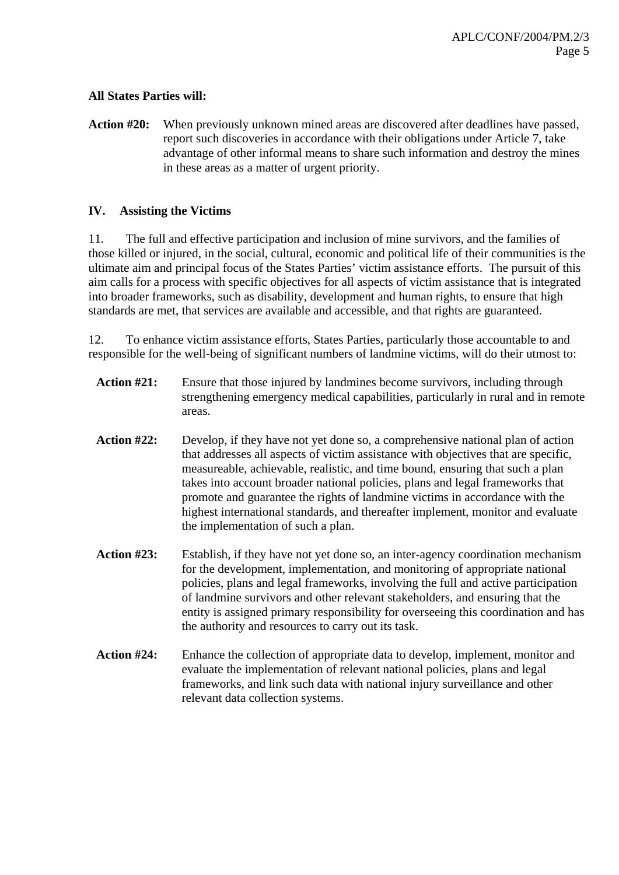# **All States Parties will:**

**Action #20:** When previously unknown mined areas are discovered after deadlines have passed, report such discoveries in accordance with their obligations under Article 7, take advantage of other informal means to share such information and destroy the mines in these areas as a matter of urgent priority.

## **IV. Assisting the Victims**

11. The full and effective participation and inclusion of mine survivors, and the families of those killed or injured, in the social, cultural, economic and political life of their communities is the ultimate aim and principal focus of the States Parties' victim assistance efforts. The pursuit of this aim calls for a process with specific objectives for all aspects of victim assistance that is integrated into broader frameworks, such as disability, development and human rights, to ensure that high standards are met, that services are available and accessible, and that rights are guaranteed.

12. To enhance victim assistance efforts, States Parties, particularly those accountable to and responsible for the well-being of significant numbers of landmine victims, will do their utmost to:

- **Action #21:** Ensure that those injured by landmines become survivors, including through strengthening emergency medical capabilities, particularly in rural and in remote areas.
- **Action #22:** Develop, if they have not yet done so, a comprehensive national plan of action that addresses all aspects of victim assistance with objectives that are specific, measureable, achievable, realistic, and time bound, ensuring that such a plan takes into account broader national policies, plans and legal frameworks that promote and guarantee the rights of landmine victims in accordance with the highest international standards, and thereafter implement, monitor and evaluate the implementation of such a plan.
- **Action #23:** Establish, if they have not yet done so, an inter-agency coordination mechanism for the development, implementation, and monitoring of appropriate national policies, plans and legal frameworks, involving the full and active participation of landmine survivors and other relevant stakeholders, and ensuring that the entity is assigned primary responsibility for overseeing this coordination and has the authority and resources to carry out its task.
- **Action #24:** Enhance the collection of appropriate data to develop, implement, monitor and evaluate the implementation of relevant national policies, plans and legal frameworks, and link such data with national injury surveillance and other relevant data collection systems.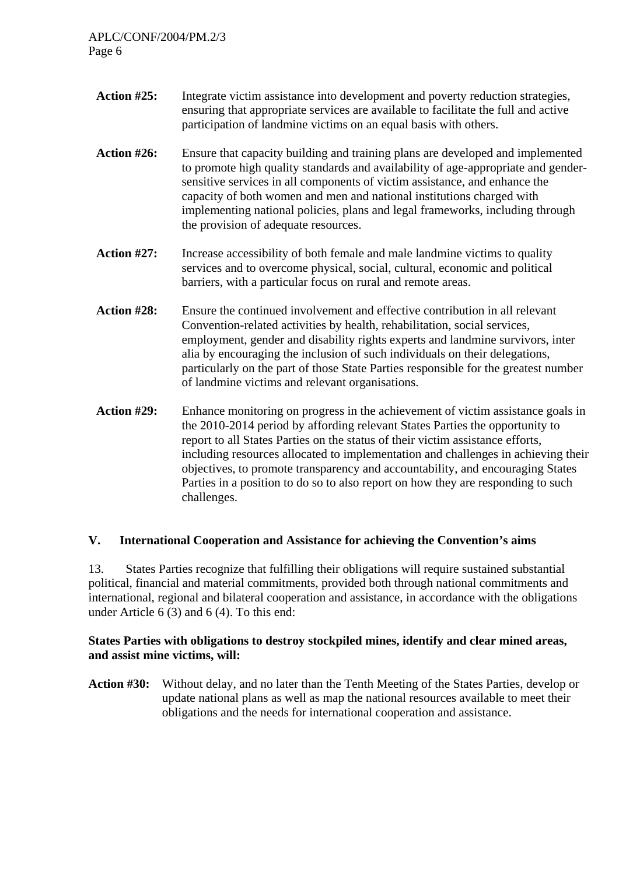- Action #25: Integrate victim assistance into development and poverty reduction strategies, ensuring that appropriate services are available to facilitate the full and active participation of landmine victims on an equal basis with others.
- **Action #26:** Ensure that capacity building and training plans are developed and implemented to promote high quality standards and availability of age-appropriate and gendersensitive services in all components of victim assistance, and enhance the capacity of both women and men and national institutions charged with implementing national policies, plans and legal frameworks, including through the provision of adequate resources.
- **Action #27:** Increase accessibility of both female and male landmine victims to quality services and to overcome physical, social, cultural, economic and political barriers, with a particular focus on rural and remote areas.
- **Action #28:** Ensure the continued involvement and effective contribution in all relevant Convention-related activities by health, rehabilitation, social services, employment, gender and disability rights experts and landmine survivors, inter alia by encouraging the inclusion of such individuals on their delegations, particularly on the part of those State Parties responsible for the greatest number of landmine victims and relevant organisations.
- **Action #29:** Enhance monitoring on progress in the achievement of victim assistance goals in the 2010-2014 period by affording relevant States Parties the opportunity to report to all States Parties on the status of their victim assistance efforts, including resources allocated to implementation and challenges in achieving their objectives, to promote transparency and accountability, and encouraging States Parties in a position to do so to also report on how they are responding to such challenges.

# **V. International Cooperation and Assistance for achieving the Convention's aims**

13. States Parties recognize that fulfilling their obligations will require sustained substantial political, financial and material commitments, provided both through national commitments and international, regional and bilateral cooperation and assistance, in accordance with the obligations under Article 6 (3) and 6 (4). To this end:

### **States Parties with obligations to destroy stockpiled mines, identify and clear mined areas, and assist mine victims, will:**

**Action #30:** Without delay, and no later than the Tenth Meeting of the States Parties, develop or update national plans as well as map the national resources available to meet their obligations and the needs for international cooperation and assistance.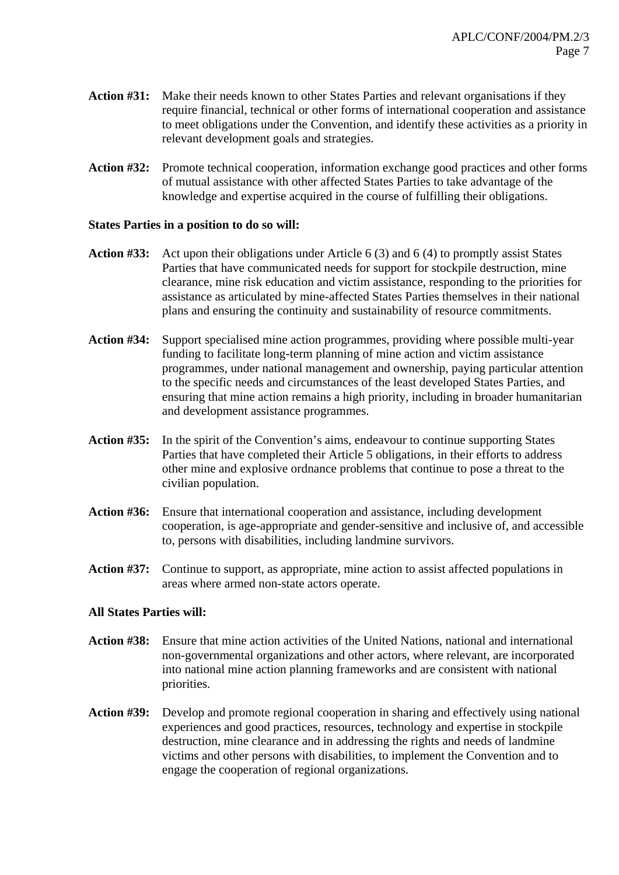- **Action #31:** Make their needs known to other States Parties and relevant organisations if they require financial, technical or other forms of international cooperation and assistance to meet obligations under the Convention, and identify these activities as a priority in relevant development goals and strategies.
- **Action #32:** Promote technical cooperation, information exchange good practices and other forms of mutual assistance with other affected States Parties to take advantage of the knowledge and expertise acquired in the course of fulfilling their obligations.

### **States Parties in a position to do so will:**

- **Action #33:** Act upon their obligations under Article 6 (3) and 6 (4) to promptly assist States Parties that have communicated needs for support for stockpile destruction, mine clearance, mine risk education and victim assistance, responding to the priorities for assistance as articulated by mine-affected States Parties themselves in their national plans and ensuring the continuity and sustainability of resource commitments.
- **Action #34:** Support specialised mine action programmes, providing where possible multi-year funding to facilitate long-term planning of mine action and victim assistance programmes, under national management and ownership, paying particular attention to the specific needs and circumstances of the least developed States Parties, and ensuring that mine action remains a high priority, including in broader humanitarian and development assistance programmes.
- **Action #35:** In the spirit of the Convention's aims, endeavour to continue supporting States Parties that have completed their Article 5 obligations, in their efforts to address other mine and explosive ordnance problems that continue to pose a threat to the civilian population.
- **Action #36:** Ensure that international cooperation and assistance, including development cooperation, is age-appropriate and gender-sensitive and inclusive of, and accessible to, persons with disabilities, including landmine survivors.
- **Action #37:** Continue to support, as appropriate, mine action to assist affected populations in areas where armed non-state actors operate.

### **All States Parties will:**

- **Action #38:** Ensure that mine action activities of the United Nations, national and international non-governmental organizations and other actors, where relevant, are incorporated into national mine action planning frameworks and are consistent with national priorities.
- **Action #39:** Develop and promote regional cooperation in sharing and effectively using national experiences and good practices, resources, technology and expertise in stockpile destruction, mine clearance and in addressing the rights and needs of landmine victims and other persons with disabilities, to implement the Convention and to engage the cooperation of regional organizations.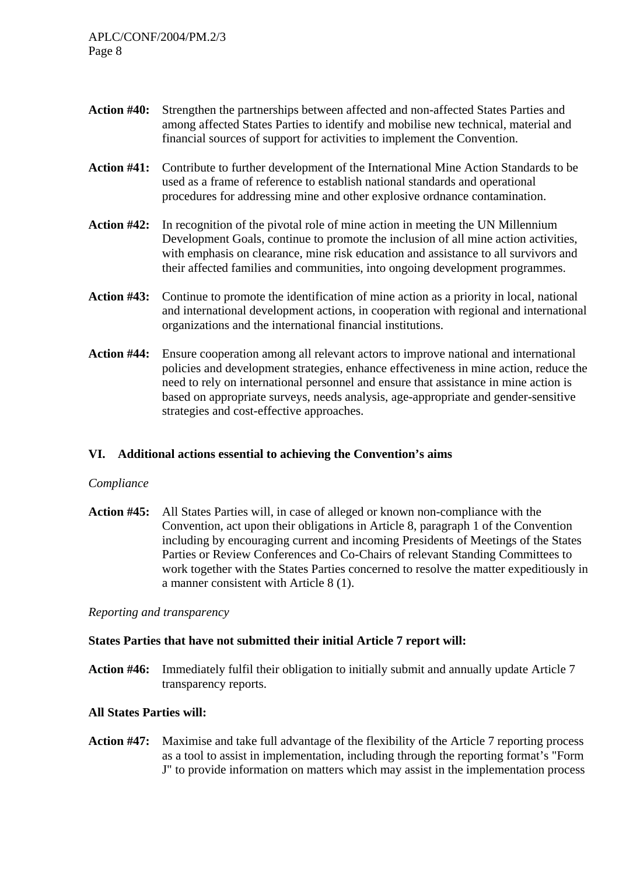- **Action #40:** Strengthen the partnerships between affected and non-affected States Parties and among affected States Parties to identify and mobilise new technical, material and financial sources of support for activities to implement the Convention.
- **Action #41:** Contribute to further development of the International Mine Action Standards to be used as a frame of reference to establish national standards and operational procedures for addressing mine and other explosive ordnance contamination.
- **Action #42:** In recognition of the pivotal role of mine action in meeting the UN Millennium Development Goals, continue to promote the inclusion of all mine action activities, with emphasis on clearance, mine risk education and assistance to all survivors and their affected families and communities, into ongoing development programmes.
- **Action #43:** Continue to promote the identification of mine action as a priority in local, national and international development actions, in cooperation with regional and international organizations and the international financial institutions.
- **Action #44:** Ensure cooperation among all relevant actors to improve national and international policies and development strategies, enhance effectiveness in mine action, reduce the need to rely on international personnel and ensure that assistance in mine action is based on appropriate surveys, needs analysis, age-appropriate and gender-sensitive strategies and cost-effective approaches.

### **VI. Additional actions essential to achieving the Convention's aims**

### *Compliance*

**Action #45:** All States Parties will, in case of alleged or known non-compliance with the Convention, act upon their obligations in Article 8, paragraph 1 of the Convention including by encouraging current and incoming Presidents of Meetings of the States Parties or Review Conferences and Co-Chairs of relevant Standing Committees to work together with the States Parties concerned to resolve the matter expeditiously in a manner consistent with Article 8 (1).

*Reporting and transparency* 

### **States Parties that have not submitted their initial Article 7 report will:**

**Action #46:** Immediately fulfil their obligation to initially submit and annually update Article 7 transparency reports.

# **All States Parties will:**

**Action #47:** Maximise and take full advantage of the flexibility of the Article 7 reporting process as a tool to assist in implementation, including through the reporting format's "Form J" to provide information on matters which may assist in the implementation process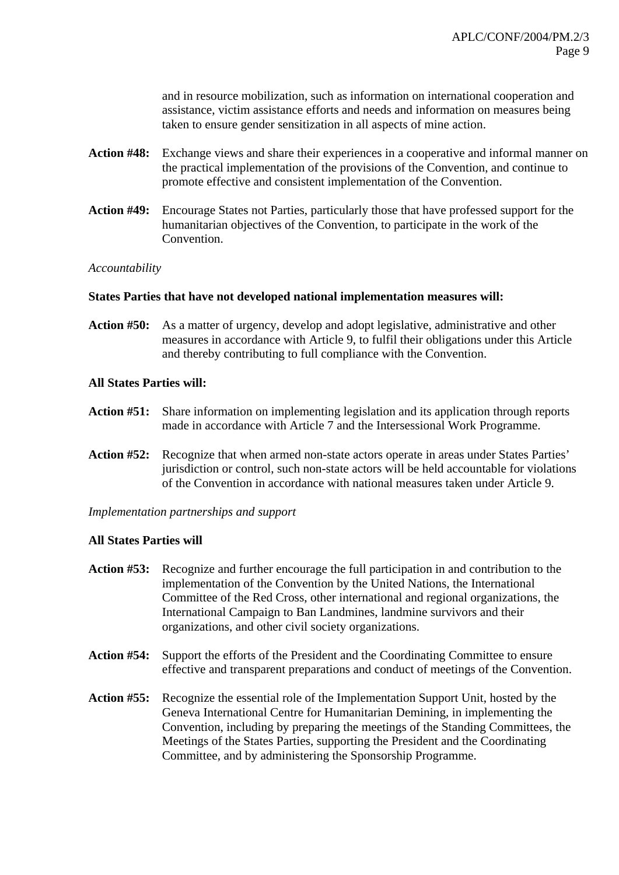and in resource mobilization, such as information on international cooperation and assistance, victim assistance efforts and needs and information on measures being taken to ensure gender sensitization in all aspects of mine action.

- **Action #48:** Exchange views and share their experiences in a cooperative and informal manner on the practical implementation of the provisions of the Convention, and continue to promote effective and consistent implementation of the Convention.
- **Action #49:** Encourage States not Parties, particularly those that have professed support for the humanitarian objectives of the Convention, to participate in the work of the Convention.

### *Accountability*

### **States Parties that have not developed national implementation measures will:**

**Action #50:** As a matter of urgency, develop and adopt legislative, administrative and other measures in accordance with Article 9, to fulfil their obligations under this Article and thereby contributing to full compliance with the Convention.

### **All States Parties will:**

- **Action #51:** Share information on implementing legislation and its application through reports made in accordance with Article 7 and the Intersessional Work Programme.
- **Action #52:** Recognize that when armed non-state actors operate in areas under States Parties' jurisdiction or control, such non-state actors will be held accountable for violations of the Convention in accordance with national measures taken under Article 9.

### *Implementation partnerships and support*

### **All States Parties will**

- **Action #53:** Recognize and further encourage the full participation in and contribution to the implementation of the Convention by the United Nations, the International Committee of the Red Cross, other international and regional organizations, the International Campaign to Ban Landmines, landmine survivors and their organizations, and other civil society organizations.
- **Action #54:** Support the efforts of the President and the Coordinating Committee to ensure effective and transparent preparations and conduct of meetings of the Convention.
- **Action #55:** Recognize the essential role of the Implementation Support Unit, hosted by the Geneva International Centre for Humanitarian Demining, in implementing the Convention, including by preparing the meetings of the Standing Committees, the Meetings of the States Parties, supporting the President and the Coordinating Committee, and by administering the Sponsorship Programme.